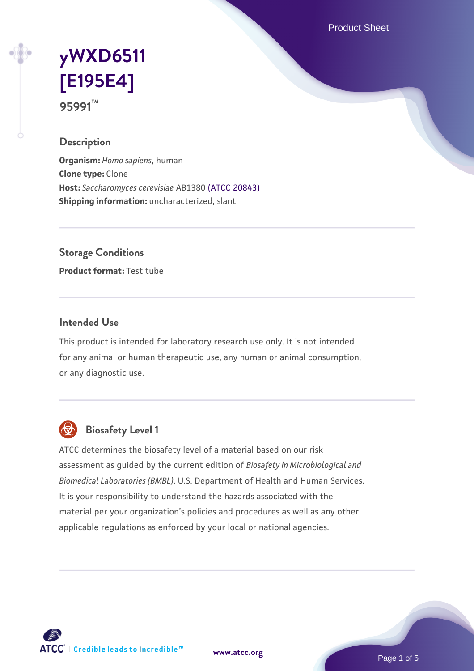Product Sheet

# **[yWXD6511](https://www.atcc.org/products/95991) [\[E195E4\]](https://www.atcc.org/products/95991) 95991™**

## **Description**

**Organism:** *Homo sapiens*, human **Clone type:** Clone **Host:** *Saccharomyces cerevisiae* AB1380 [\(ATCC 20843\)](https://www.atcc.org/products/20843) **Shipping information:** uncharacterized, slant

**Storage Conditions**

**Product format:** Test tube

## **Intended Use**

This product is intended for laboratory research use only. It is not intended for any animal or human therapeutic use, any human or animal consumption, or any diagnostic use.



## **Biosafety Level 1**

ATCC determines the biosafety level of a material based on our risk assessment as guided by the current edition of *Biosafety in Microbiological and Biomedical Laboratories (BMBL)*, U.S. Department of Health and Human Services. It is your responsibility to understand the hazards associated with the material per your organization's policies and procedures as well as any other applicable regulations as enforced by your local or national agencies.

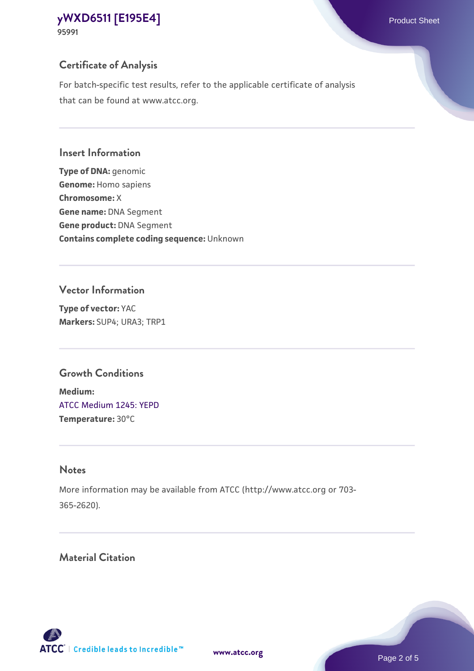## **Certificate of Analysis**

For batch-specific test results, refer to the applicable certificate of analysis that can be found at www.atcc.org.

#### **Insert Information**

**Type of DNA:** genomic **Genome:** Homo sapiens **Chromosome:** X **Gene name:** DNA Segment **Gene product:** DNA Segment **Contains complete coding sequence:** Unknown

#### **Vector Information**

**Type of vector:** YAC **Markers:** SUP4; URA3; TRP1

## **Growth Conditions**

**Medium:**  [ATCC Medium 1245: YEPD](https://www.atcc.org/-/media/product-assets/documents/microbial-media-formulations/1/2/4/5/atcc-medium-1245.pdf?rev=705ca55d1b6f490a808a965d5c072196) **Temperature:** 30°C

## **Notes**

More information may be available from ATCC (http://www.atcc.org or 703- 365-2620).

## **Material Citation**

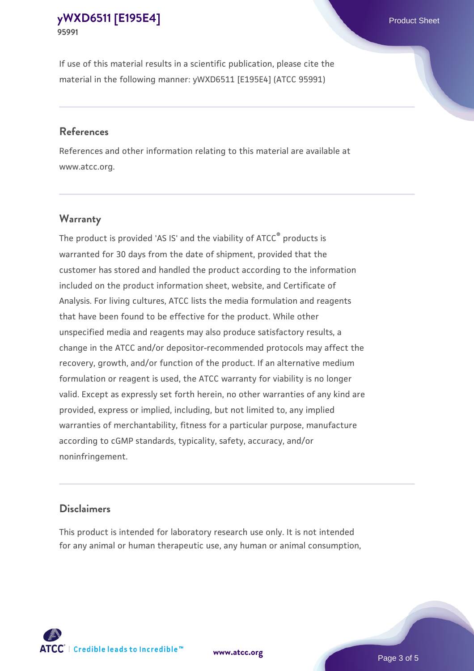If use of this material results in a scientific publication, please cite the material in the following manner: yWXD6511 [E195E4] (ATCC 95991)

#### **References**

References and other information relating to this material are available at www.atcc.org.

#### **Warranty**

The product is provided 'AS IS' and the viability of  $ATCC<sup>®</sup>$  products is warranted for 30 days from the date of shipment, provided that the customer has stored and handled the product according to the information included on the product information sheet, website, and Certificate of Analysis. For living cultures, ATCC lists the media formulation and reagents that have been found to be effective for the product. While other unspecified media and reagents may also produce satisfactory results, a change in the ATCC and/or depositor-recommended protocols may affect the recovery, growth, and/or function of the product. If an alternative medium formulation or reagent is used, the ATCC warranty for viability is no longer valid. Except as expressly set forth herein, no other warranties of any kind are provided, express or implied, including, but not limited to, any implied warranties of merchantability, fitness for a particular purpose, manufacture according to cGMP standards, typicality, safety, accuracy, and/or noninfringement.

#### **Disclaimers**

This product is intended for laboratory research use only. It is not intended for any animal or human therapeutic use, any human or animal consumption,





Page 3 of 5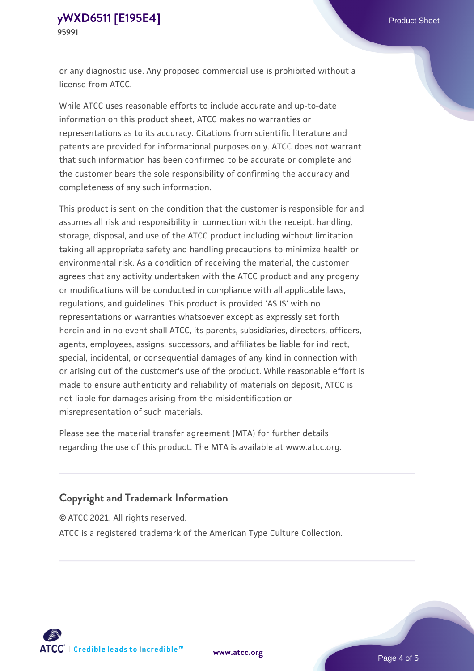or any diagnostic use. Any proposed commercial use is prohibited without a license from ATCC.

While ATCC uses reasonable efforts to include accurate and up-to-date information on this product sheet, ATCC makes no warranties or representations as to its accuracy. Citations from scientific literature and patents are provided for informational purposes only. ATCC does not warrant that such information has been confirmed to be accurate or complete and the customer bears the sole responsibility of confirming the accuracy and completeness of any such information.

This product is sent on the condition that the customer is responsible for and assumes all risk and responsibility in connection with the receipt, handling, storage, disposal, and use of the ATCC product including without limitation taking all appropriate safety and handling precautions to minimize health or environmental risk. As a condition of receiving the material, the customer agrees that any activity undertaken with the ATCC product and any progeny or modifications will be conducted in compliance with all applicable laws, regulations, and guidelines. This product is provided 'AS IS' with no representations or warranties whatsoever except as expressly set forth herein and in no event shall ATCC, its parents, subsidiaries, directors, officers, agents, employees, assigns, successors, and affiliates be liable for indirect, special, incidental, or consequential damages of any kind in connection with or arising out of the customer's use of the product. While reasonable effort is made to ensure authenticity and reliability of materials on deposit, ATCC is not liable for damages arising from the misidentification or misrepresentation of such materials.

Please see the material transfer agreement (MTA) for further details regarding the use of this product. The MTA is available at www.atcc.org.

## **Copyright and Trademark Information**

© ATCC 2021. All rights reserved.

ATCC is a registered trademark of the American Type Culture Collection.



**[www.atcc.org](http://www.atcc.org)**

Page 4 of 5